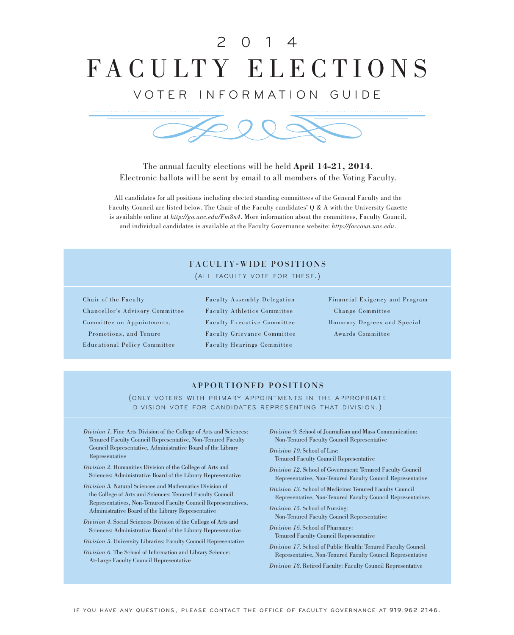# FACULTY ELECTIONS 2 0 1 4

VOTER INFORMATION GUIDE



The annual faculty elections will be held **April 14-21, 2014**. Electronic ballots will be sent by email to all members of the Voting Faculty.

All candidates for all positions including elected standing committees of the General Faculty and the Faculty Council are listed below. The Chair of the Faculty candidates' Q & A with the University Gazette is available online at *http://go.unc.edu/Fm8n4*. More information about the committees, Faculty Council, and individual candidates is available at the Faculty Governance website: *http://faccoun.unc.edu*.

## FACULTY-WIDE POSITIONS

(ALL FACULTY VOTE FOR THESE.)

Chair of the Faculty Chancellor's Advisory Committee Committee on Appointments, Promotions, and Tenure Educational Policy Committee

Faculty Assembly Delegation Faculty Athletics Committee Faculty Executive Committee Faculty Grievance Committee Faculty Hearings Committee

Financial Exigency and Program Change Committee Honorary Degrees and Special Awards Committee

### APPORTIONED POSITIONS

(ONLY VOTERS WITH PRIMARY APPOINTMENTS IN THE APPROPRIATE DIVISION VOTE FOR CANDIDATES REPRESENTING THAT DIVISION.)

- *Division 1*. Fine Arts Division of the College of Arts and Sciences: Tenured Faculty Council Representative, Non-Tenured Faculty Council Representative, Administrative Board of the Library Representative
- *Division 2*. Humanities Division of the College of Arts and Sciences: Administrative Board of the Library Representative
- *Division 3.* Natural Sciences and Mathematics Division of the College of Arts and Sciences: Tenured Faculty Council Representatives, Non-Tenured Faculty Council Representatives, Administrative Board of the Library Representative
- *Division 4*. Social Sciences Division of the College of Arts and Sciences: Administrative Board of the Library Representative

*Division 5*. University Libraries: Faculty Council Representative

*Division 6*. The School of Information and Library Science: At-Large Faculty Council Representative

*Division 9*. School of Journalism and Mass Communication: Non-Tenured Faculty Council Representative

*Division 10*. School of Law: Tenured Faculty Council Representative

*Division 12*. School of Government: Tenured Faculty Council

Representative, Non-Tenured Faculty Council Representative

*Division 13*. School of Medicine: Tenured Faculty Council Representative, Non-Tenured Faculty Council Representatives

*Division 15*. School of Nursing: Non-Tenured Faculty Council Representative

*Division 16*. School of Pharmacy: Tenured Faculty Council Representative

*Division 17*. School of Public Health: Tenured Faculty Council Representative, Non-Tenured Faculty Council Representative

*Division 18*. Retired Faculty: Faculty Council Representative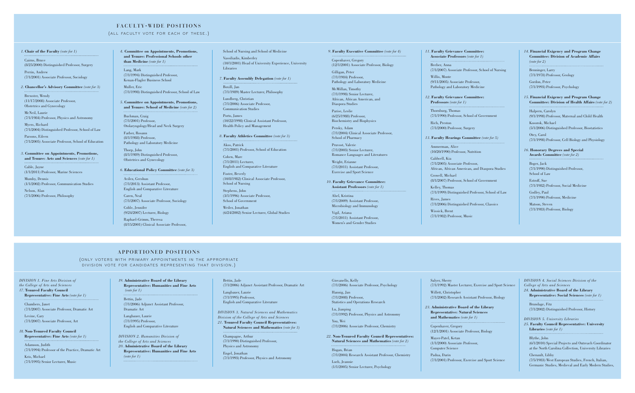### *1*. **Chair of the Faculty** *(vote for 1)*

Cairns, Bruce (8/25/2000) Distinguished Professor, Surgery Perrin, Andrew

(7/1/2001) Associate Professor, Sociology

### *2*. **Chancellor's Advisory Committee** *(vote for 3)*

Brewster, Wendy (11/17/2008) Associate Professor, Obstetrics and Gynecology

McNeil, Laurie (7/1/1984) Professor, Physics and Astronomy

Myers, Richard (7/1/2004) Distinguished Professor, School of Law (7/1/1994) Distinguished Professor, Kenan-Flagler Business School Muller, Eric

Parsons, Eileen (7/1/2005) Associate Professor, School of Education

## *3*. **Committee on Appointments, Promotions,**

**and Tenure: Arts and Sciences** *(vote for 1)*

Cable, Jayne (1/1/2011) Professor, Marine Sciences

Mumby, Dennis (1/1/2002) Professor, Communication Studies

Nelson, Alan (7/1/2006) Professor, Philosophy

### *4.* **Committee on Appointments, Promotions, and Tenure: Professional Schools other**

**than Medicine** *(vote for 1)* Lang, Mark

(7/1/1998) Distinguished Professor, School of Law

### *5*. **Committee on Appointments, Promotions, and Tenure: School of Medicine** *(vote for 2)*

Buchman, Craig (7/1/2001) Professor, Otolaryngology/Head and Neck Surgery

Farber, Rosann (8/1/1988) Professor, Pathology and Laboratory Medicine

Thorp, John (8/1/1989) Distinguished Professor, Obstetrics and Gynecology

### *6*. **Educational Policy Committee** *(vote for 3)*

Avilez, Gershun (7/1/2013) Assistant Professor, English and Comparative Literature Caren, Neal

(7/1/2007) Associate Professor, Sociology

Coble, Jennifer (9/24/2007) Lecturer, Biology

Raphael-Grimm, Theresa (8/15/2001) Clinical Associate Professor,

### School of Nursing and School of Medicine

Vassiliadis, Kimberley (10/1/2001) Head of University Experience, University Libraries

### *7*. **Faculty Assembly Delegation** *(vote for 1)*

Boxill, Jan (7/1/1989) Master Lecturer, Philosophy

Lundberg, Christian (7/1/2006) Associate Professor, Communication Studies

Porto, James (10/22/1998) Clinical Assistant Professor,

Health Policy and Management

#### *8*. **Faculty Athletics Committee** *(vote for 3)*

Akos, Patrick (7/1/2001) Professor, School of Education

Cohen, Marc (7/1/2011) Lecturer, English and Comparative Literature

Persky, Adam (7/1/2004) Clinical Associate Professor, School of Pharmacy

Foster, Beverly (10/8/1982) Clinical Associate Professor, School of Nursing

Weiler, Jonathan

Stephens, John (3/1/1996) Associate Professor, School of Government

(6/24/2002) Senior Lecturer, Global Studies

*DIVISION 1. Fine Arts Division of the College of Arts and Sciences*

*17*. **Tenured Faculty Council Representative: Fine Arts** *(vote for 1)*

Chambers, Janet (7/1/2007) Associate Professor, Dramatic Art

Levine, Cary (7/1/2007) Associate Professor, Art

*18.* **Non-Tenured Faculty Council Representative: Fine Arts** *(vote for 1)*

Adamson, Judith (7/1/1994) Professor of the Practice, Dramatic Art

Kris, Michael (7/1/1995) Senior Lecturer, Music

### *19.* **Administrative Board of the Library Representative: Humanities and Fine Arts**

## *(vote for 1)*

Bettin, Jade (7/1/2006) Adjunct Assistant Professor, Dramatic Art

Langbauer, Laurie (7/1/1995) Professor, English and Comparative Literature

### *DIVISION 2. Humanities Division of the College of Arts and Sciences*

*20.* **Administrative Board of the Library Representative: Humanities and Fine Arts** *(vote for 1)*

#### Bettin, Jade

(7/1/2006) Adjunct Assistant Professor, Dramatic Art

Langbauer, Laurie (7/1/1995) Professor, English and Comparative Literature

*DIVISION 3. Natural Sciences and Mathematics Division of the College of Arts and Sciences* 

*21.* **Tenured Faculty Council Representatives: Natural Sciences and Mathematics** *(vote for 3)*

Champagne, Arthur (7/1/1990) Distinguished Professor, Physics and Astronomy

Engel, Jonathan

(7/1/1993) Professor, Physics and Astronomy

### FACULTY-WIDE POSITIONS

### (ALL FACULTY VOTE FOR EACH OF THESE.)

### APPORTIONED POSITIONS

(ONLY VOTERS WITH PRIMARY APPOINTMENTS IN THE APPROPRIATE DIVISION VOTE FOR CANDIDATES REPRESENTING THAT DIVISION.)

*9*. **Faculty Executive Committee** *(vote for 4)*

Copenhaver, Gregory (12/1/2001) Associate Professor, Biology Gilligan, Peter

(7/1/1984) Professor, Pathology and Laboratory Medicine

McMillan, Timothy (7/1/1998) Senior Lecturer, African, African American, and Diaspora Studies

## Parise, Leslie

(6/25/1988) Professor,

Biochemistry and Biophysics

Pruvost, Valerie (7/1/2003) Senior Lecturer,

Romance Languages and Literatures

Weight, Erianne

(7/1/2011) Assistant Professor, Exercise and Sport Science

*10*. **Faculty Grievance Committee: Assistant Professors** *(vote for 1)*

Abel, Kristina

(7/1/2009) Assistant Professor,

Microbiology and Immunology

(7/1/2011) Assistant Professor,

Vigil, Ariana Women's and Gender Studies *11*. **Faculty Grievance Committee: Associate Professors** *(vote for 1)* Beeber, Anna (7/1/2007) Associate Professor, School of Nursing Willie, Monte (9/11/2005) Associate Professor, Pathology and Laboratory Medicine

*12*. **Faculty Grievance Committee: Professors** *(vote for 1)* Thornburg, Thomas (7/1/1990) Professor, School of Government Rich, Preston (7/1/2000) Professor, Surgery

*13*. **Faculty Hearings Committee** *(vote for 5)* Ammerman, Alice (10/20/1990) Professor, Nutrition

Caldwell, Kia (7/1/2005) Associate Professor, African, African American, and Diaspora Studies

Crowell, Michael (8/1/2007) Professor, School of Government

Kelley, Thomas (7/1/1999) Distinguished Professor, School of Law

Rives, James (7/1/2006) Distinguished Professor, Classics

Wissick, Brent (7/1/1982) Professor, Music

### *14*. **Financial Exigency and Program Change Committee: Division of Academic Affairs** *(vote for 2)*

Benninger, Larry (7/1/1978) Professor, Geology

Gordon, Peter (7/1/1993) Professor, Psychology

*15*. **Financial Exigency and Program Change Committee: Division of Health Affairs** *(vote for 2)* Halpern, Carolyn (9/1/1998) Professor, Maternal and Child Health

Kosorok, Michael (5/1/2006) Distinguished Professor, Biostatistics

Otey, Carol (7/1/1998) Professor, Cell Biology and Physiology

*16*. **Honorary Degrees and Special Awards Committee** *(vote for 2)*

Boger, Jack (7/1/1990) Distinguished Professor, School of Law

Estroff, Sue (7/1/1982) Professor, Social Medicine

Godley, Paul (7/1/1990) Professor, Medicine

Matson, Steven (7/1/1983) Professor, Biology

Giovanello, Kelly (7/1/2006) Associate Professor, Psychology

Hannig, Jan (7/1/2008) Professor, Statistics and Operations Research

Lu, Jianping (7/1/1992) Professor, Physics and Astronomy

You, Wei

(7/1/2006) Associate Professor, Chemistry

*22.* **Non-Tenured Faculty Council Representatives: Natural Sciences and Mathematics** *(vote for 2)*

Hogan, Brian

(7/1/2004) Research Assistant Professor, Chemistry

Loeb, Jeannie (1/1/2005) Senior Lecturer, Psychology Salyer, Sherry (7/1/1992) Master Lecturer, Exercise and Sport Science Willett, Christopher

(7/1/2002) Research Assistant Professor, Biology

*23.* **Administrative Board of the Library Representative: Natural Sciences and Mathematics** *(vote for 1)* Copenhaver, Gregory (12/1/2001) Associate Professor, Biology

Mayer-Patel, Ketan (1/1/2000) Associate Professor, Computer Science

Padua, Darin (7/1/2001) Professor, Exercise and Sport Science

*DIVISION 4. Social Sciences Division of the College of Arts and Sciences* 

*24.* **Administrative Board of the Library Representative: Social Sciences** *(vote for 1)* Brundage, Fitz (7/1/2002) Distinguished Professor, History

*DIVISION 5. University Libraries* 

*25.* **Faculty Council Representative: University Libraries** *(vote for 1)*

Blythe, John

(6/1/2010) Special Projects and Outreach Coordinator at the North Carolina Collection, University Libraries

Chenault, Libby (7/5/1983) West European Studies, French, Italian, Germanic Studies, Medieval and Early Modern Studies,